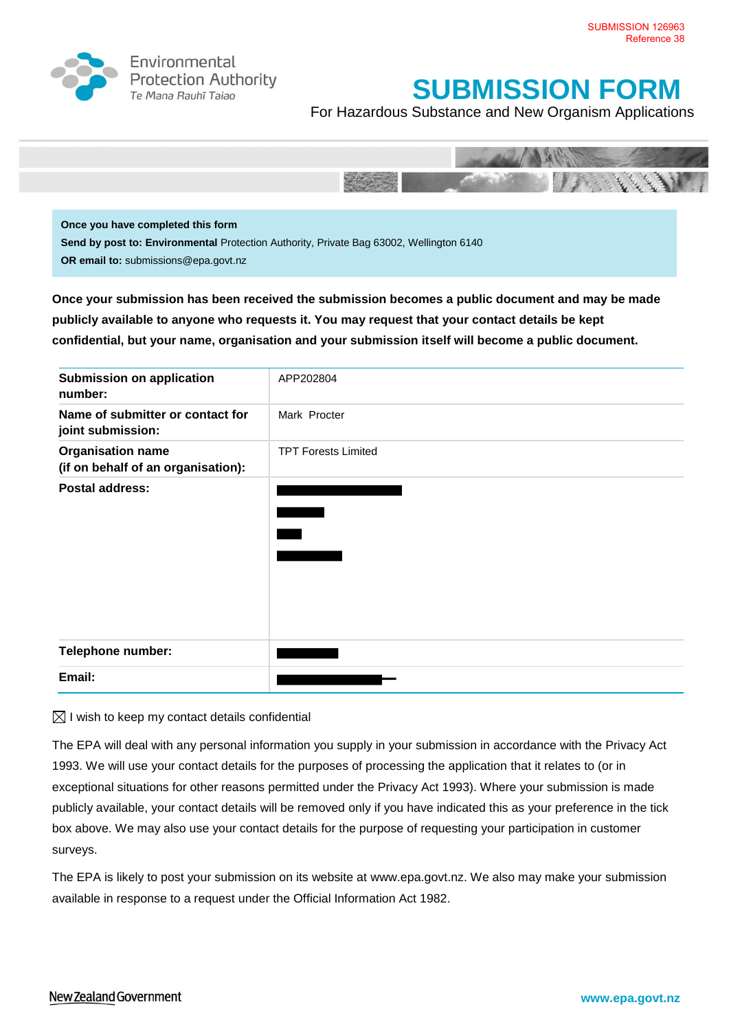

Environmental **Protection Authority** Te Mana Rauhī Tajao

# **SUBMISSION FORM**

For Hazardous Substance and New Organism Applications



**Send by post to: Environmental** Protection Authority, Private Bag 63002, Wellington 6140 **OR email to:** submissions@epa.govt.nz

**Once your submission has been received the submission becomes a public document and may be made publicly available to anyone who requests it. You may request that your contact details be kept confidential, but your name, organisation and your submission itself will become a public document.**

| <b>Submission on application</b><br>number:                    | APP202804                  |
|----------------------------------------------------------------|----------------------------|
| Name of submitter or contact for<br>joint submission:          | Mark Procter               |
| <b>Organisation name</b><br>(if on behalf of an organisation): | <b>TPT Forests Limited</b> |
| <b>Postal address:</b>                                         |                            |
| Telephone number:                                              |                            |
| Email:                                                         |                            |

 $\boxtimes$  I wish to keep my contact details confidential

The EPA will deal with any personal information you supply in your submission in accordance with the Privacy Act 1993. We will use your contact details for the purposes of processing the application that it relates to (or in exceptional situations for other reasons permitted under the Privacy Act 1993). Where your submission is made publicly available, your contact details will be removed only if you have indicated this as your preference in the tick box above. We may also use your contact details for the purpose of requesting your participation in customer surveys.

The EPA is likely to post your submission on its website at [www.epa.govt.nz.](http://www.ermanz.govt.nz/) We also may make your submission available in response to a request under the Official Information Act 1982.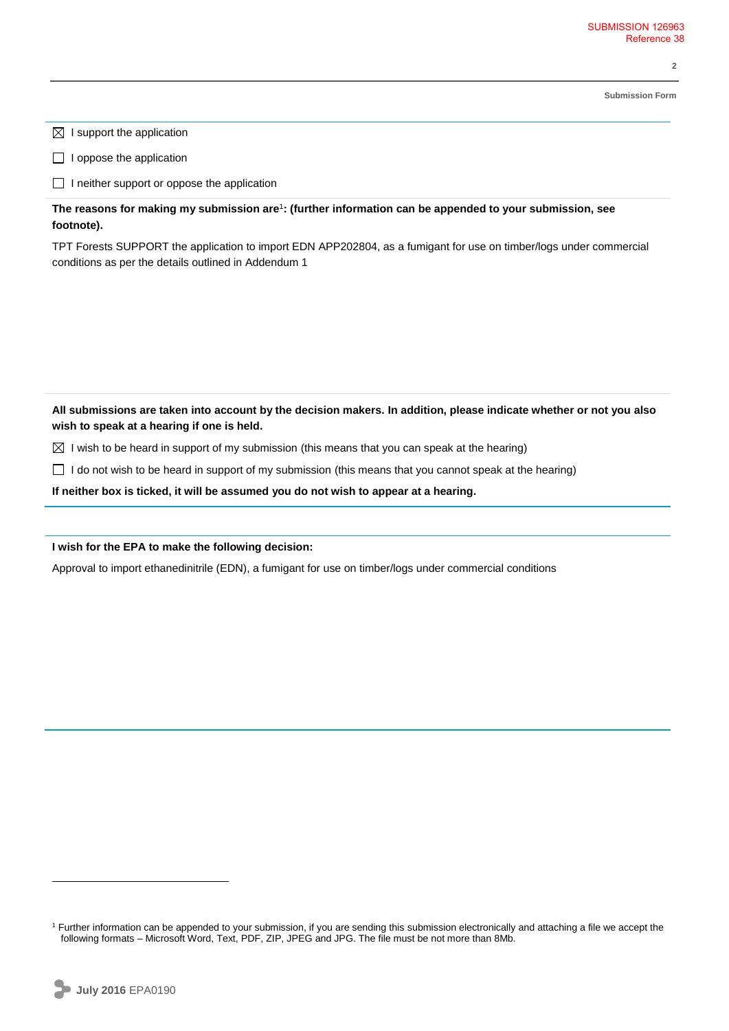**2**

**Submission Form**

 $\boxtimes$  I support the application

 $\Box$  I oppose the application

 $\Box$  I neither support or oppose the application

**The reasons for making my submission are**<sup>1</sup> **: (further information can be appended to your submission, see footnote).**

TPT Forests SUPPORT the application to import EDN APP202804, as a fumigant for use on timber/logs under commercial conditions as per the details outlined in Addendum 1

**All submissions are taken into account by the decision makers. In addition, please indicate whether or not you also wish to speak at a hearing if one is held.**

 $\boxtimes$  I wish to be heard in support of my submission (this means that you can speak at the hearing)

 $\Box$  I do not wish to be heard in support of my submission (this means that you cannot speak at the hearing)

**If neither box is ticked, it will be assumed you do not wish to appear at a hearing.**

## **I wish for the EPA to make the following decision:**

Approval to import ethanedinitrile (EDN), a fumigant for use on timber/logs under commercial conditions

 $\overline{a}$ 

<sup>1</sup> Further information can be appended to your submission, if you are sending this submission electronically and attaching a file we accept the following formats – Microsoft Word, Text, PDF, ZIP, JPEG and JPG. The file must be not more than 8Mb.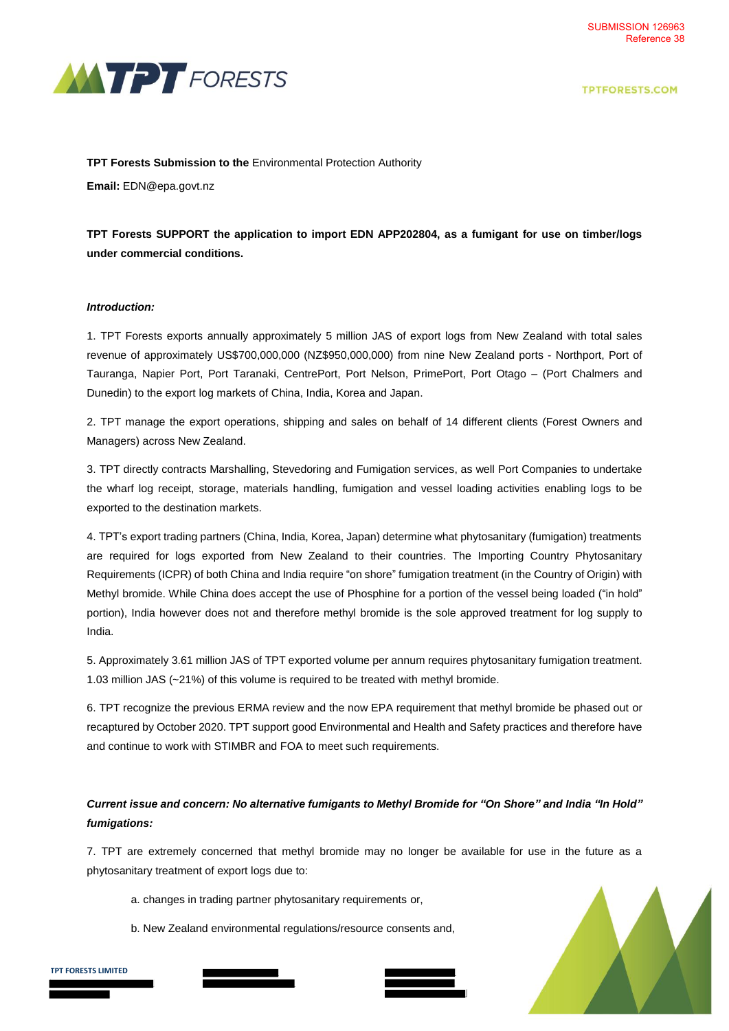



#### **TPT Forests Submission to the** Environmental Protection Authority

**Email:** EDN@epa.govt.nz

**TPT Forests SUPPORT the application to import EDN APP202804, as a fumigant for use on timber/logs under commercial conditions.**

#### *Introduction:*

1. TPT Forests exports annually approximately 5 million JAS of export logs from New Zealand with total sales revenue of approximately US\$700,000,000 (NZ\$950,000,000) from nine New Zealand ports - Northport, Port of Tauranga, Napier Port, Port Taranaki, CentrePort, Port Nelson, PrimePort, Port Otago – (Port Chalmers and Dunedin) to the export log markets of China, India, Korea and Japan.

2. TPT manage the export operations, shipping and sales on behalf of 14 different clients (Forest Owners and Managers) across New Zealand.

3. TPT directly contracts Marshalling, Stevedoring and Fumigation services, as well Port Companies to undertake the wharf log receipt, storage, materials handling, fumigation and vessel loading activities enabling logs to be exported to the destination markets.

4. TPT's export trading partners (China, India, Korea, Japan) determine what phytosanitary (fumigation) treatments are required for logs exported from New Zealand to their countries. The Importing Country Phytosanitary Requirements (ICPR) of both China and India require "on shore" fumigation treatment (in the Country of Origin) with Methyl bromide. While China does accept the use of Phosphine for a portion of the vessel being loaded ("in hold" portion), India however does not and therefore methyl bromide is the sole approved treatment for log supply to India.

5. Approximately 3.61 million JAS of TPT exported volume per annum requires phytosanitary fumigation treatment. 1.03 million JAS (~21%) of this volume is required to be treated with methyl bromide.

6. TPT recognize the previous ERMA review and the now EPA requirement that methyl bromide be phased out or recaptured by October 2020. TPT support good Environmental and Health and Safety practices and therefore have and continue to work with STIMBR and FOA to meet such requirements.

## *Current issue and concern: No alternative fumigants to Methyl Bromide for "On Shore" and India "In Hold" fumigations:*

7. TPT are extremely concerned that methyl bromide may no longer be available for use in the future as a phytosanitary treatment of export logs due to:

- a. changes in trading partner phytosanitary requirements or,
- b. New Zealand environmental regulations/resource consents and,

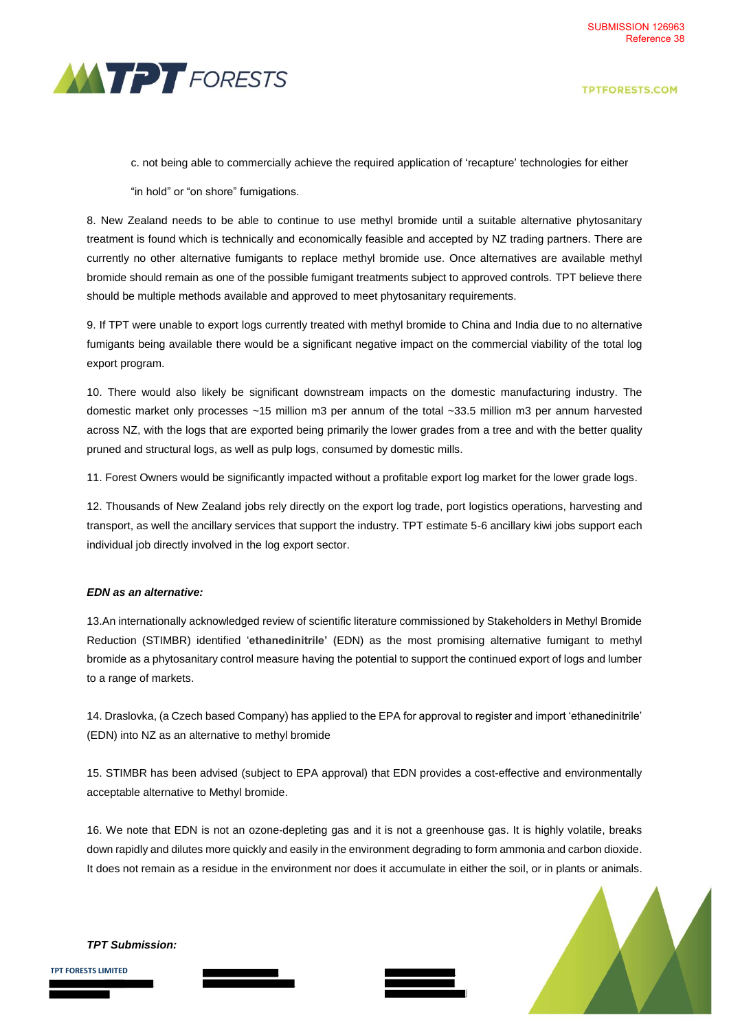

**TPTFORESTS.COM** 

c. not being able to commercially achieve the required application of 'recapture' technologies for either

"in hold" or "on shore" fumigations.

8. New Zealand needs to be able to continue to use methyl bromide until a suitable alternative phytosanitary treatment is found which is technically and economically feasible and accepted by NZ trading partners. There are currently no other alternative fumigants to replace methyl bromide use. Once alternatives are available methyl bromide should remain as one of the possible fumigant treatments subject to approved controls. TPT believe there should be multiple methods available and approved to meet phytosanitary requirements.

9. If TPT were unable to export logs currently treated with methyl bromide to China and India due to no alternative fumigants being available there would be a significant negative impact on the commercial viability of the total log export program.

10. There would also likely be significant downstream impacts on the domestic manufacturing industry. The domestic market only processes ~15 million m3 per annum of the total ~33.5 million m3 per annum harvested across NZ, with the logs that are exported being primarily the lower grades from a tree and with the better quality pruned and structural logs, as well as pulp logs, consumed by domestic mills.

11. Forest Owners would be significantly impacted without a profitable export log market for the lower grade logs.

12. Thousands of New Zealand jobs rely directly on the export log trade, port logistics operations, harvesting and transport, as well the ancillary services that support the industry. TPT estimate 5-6 ancillary kiwi jobs support each individual job directly involved in the log export sector.

#### *EDN as an alternative:*

13.An internationally acknowledged review of scientific literature commissioned by Stakeholders in Methyl Bromide Reduction (STIMBR) identified '**ethanedinitrile' (**EDN) as the most promising alternative fumigant to methyl bromide as a phytosanitary control measure having the potential to support the continued export of logs and lumber to a range of markets.

14. Draslovka, (a Czech based Company) has applied to the EPA for approval to register and import 'ethanedinitrile' (EDN) into NZ as an alternative to methyl bromide

15. STIMBR has been advised (subject to EPA approval) that EDN provides a cost-effective and environmentally acceptable alternative to Methyl bromide.

16. We note that EDN is not an ozone-depleting gas and it is not a greenhouse gas. It is highly volatile, breaks down rapidly and dilutes more quickly and easily in the environment degrading to form ammonia and carbon dioxide. It does not remain as a residue in the environment nor does it accumulate in either the soil, or in plants or animals.



*TPT Submission:*

**TPT FORESTS LIMITED**